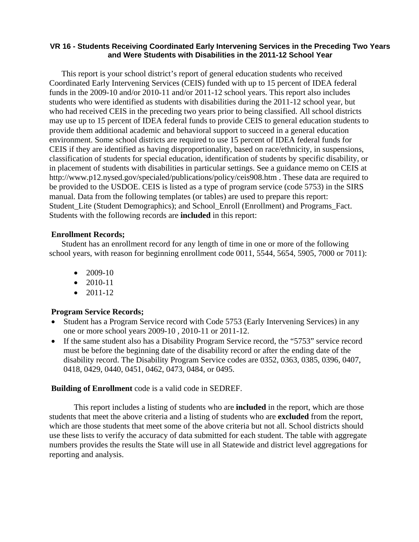#### **VR 16 - Students Receiving Coordinated Early Intervening Services in the Preceding Two Years and Were Students with Disabilities in the 2011-12 School Year**

This report is your school district's report of general education students who received Coordinated Early Intervening Services (CEIS) funded with up to 15 percent of IDEA federal funds in the 2009-10 and/or 2010-11 and/or 2011-12 school years. This report also includes students who were identified as students with disabilities during the 2011-12 school year, but who had received CEIS in the preceding two years prior to being classified. All school districts may use up to 15 percent of IDEA federal funds to provide CEIS to general education students to provide them additional academic and behavioral support to succeed in a general education environment. Some school districts are required to use 15 percent of IDEA federal funds for CEIS if they are identified as having disproportionality, based on race/ethnicity, in suspensions, classification of students for special education, identification of students by specific disability, or in placement of students with disabilities in particular settings. See a guidance memo on CEIS at http://www.p12.nysed.gov/specialed/publications/policy/ceis908.htm . These data are required to be provided to the USDOE. CEIS is listed as a type of program service (code 5753) in the SIRS manual. Data from the following templates (or tables) are used to prepare this report: Student\_Lite (Student Demographics); and School\_Enroll (Enrollment) and Programs\_Fact. Students with the following records are **included** in this report:

### **Enrollment Records;**

Student has an enrollment record for any length of time in one or more of the following school years, with reason for beginning enrollment code 0011, 5544, 5654, 5905, 7000 or 7011):

- $2009-10$
- 2010-11
- 2011-12

# **Program Service Records;**

- Student has a Program Service record with Code 5753 (Early Intervening Services) in any one or more school years 2009-10 , 2010-11 or 2011-12.
- If the same student also has a Disability Program Service record, the "5753" service record must be before the beginning date of the disability record or after the ending date of the disability record. The Disability Program Service codes are 0352, 0363, 0385, 0396, 0407, 0418, 0429, 0440, 0451, 0462, 0473, 0484, or 0495.

### **Building of Enrollment** code is a valid code in SEDREF.

 This report includes a listing of students who are **included** in the report, which are those students that meet the above criteria and a listing of students who are **excluded** from the report, which are those students that meet some of the above criteria but not all. School districts should use these lists to verify the accuracy of data submitted for each student. The table with aggregate numbers provides the results the State will use in all Statewide and district level aggregations for reporting and analysis.